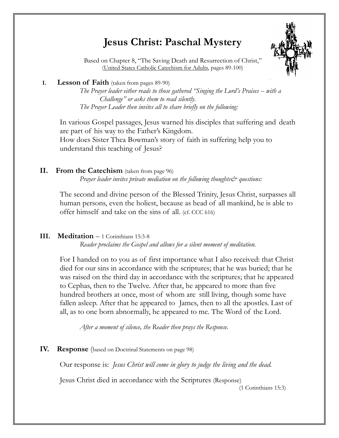# **Jesus Christ: Paschal Mystery**



 Based on Chapter 8, "The Saving Death and Resurrection of Christ," (United States Catholic Catechism for Adults, pages 89-100)

#### **I. Lesson of Faith** (taken from pages 89-90)

*The Prayer leader either reads to those gathered "Singing the Lord's Praises -- with a Challenge" or asks them to read silently. The Prayer Leader then invites all to share briefly on the following:*

 In various Gospel passages, Jesus warned his disciples that suffering and death are part of his way to the Father's Kingdom. How does Sister Thea Bowman's story of faith in suffering help you to understand this teaching of Jesus?

## **II. From the Catechism** (taken from page 96)

*Prayer leader invites private mediation on the following thoughts questions:* 

The second and divine person of the Blessed Trinity, Jesus Christ, surpasses all human persons, even the holiest, because as head of all mankind, he is able to offer himself and take on the sins of all. (cf. CCC 616)

## **III. Meditation** – 1 Corinthians 15:3-8

*Reader proclaims the Gospel and allows for a silent moment of meditation.* 

For I handed on to you as of first importance what I also received: that Christ died for our sins in accordance with the scriptures; that he was buried; that he was raised on the third day in accordance with the scriptures; that he appeared to Cephas, then to the Twelve. After that, he appeared to more than five hundred brothers at once, most of whom are still living, though some have fallen asleep. After that he appeared to James, then to all the apostles. Last of all, as to one born abnormally, he appeared to me. The Word of the Lord.

*After a moment of silence, the Reader then prays the Response.*

## **IV. Response** (based on Doctrinal Statements on page 98)

Our response is: *Jesus Christ will come in glory to judge the living and the dead.* 

Jesus Christ died in accordance with the Scriptures (Response)

(1 Corinthians 15:3)